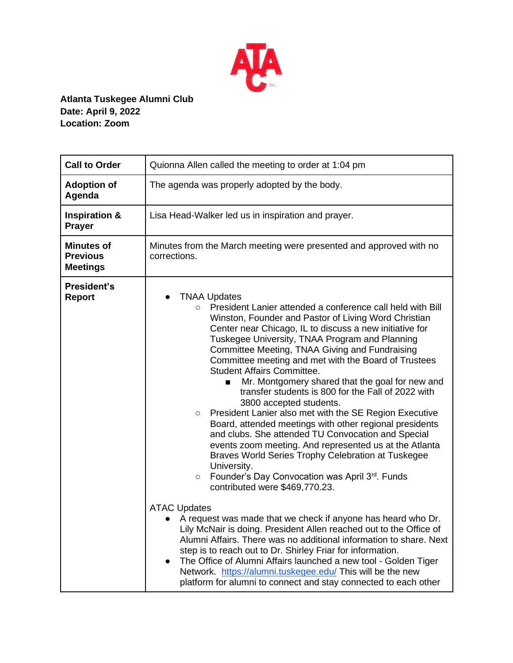

## **Atlanta Tuskegee Alumni Club Date: April 9, 2022 Location: Zoom**

| <b>Call to Order</b>                                    | Quionna Allen called the meeting to order at 1:04 pm                                                                                                                                                                                                                                                                                                                                                                                                                                                                                                                                                                                                                                                                                                                                                                                                                                                                                                                                                                                                                                                                                                                                                                                                                                                                                                                                                                                                                                               |
|---------------------------------------------------------|----------------------------------------------------------------------------------------------------------------------------------------------------------------------------------------------------------------------------------------------------------------------------------------------------------------------------------------------------------------------------------------------------------------------------------------------------------------------------------------------------------------------------------------------------------------------------------------------------------------------------------------------------------------------------------------------------------------------------------------------------------------------------------------------------------------------------------------------------------------------------------------------------------------------------------------------------------------------------------------------------------------------------------------------------------------------------------------------------------------------------------------------------------------------------------------------------------------------------------------------------------------------------------------------------------------------------------------------------------------------------------------------------------------------------------------------------------------------------------------------------|
| <b>Adoption of</b><br>Agenda                            | The agenda was properly adopted by the body.                                                                                                                                                                                                                                                                                                                                                                                                                                                                                                                                                                                                                                                                                                                                                                                                                                                                                                                                                                                                                                                                                                                                                                                                                                                                                                                                                                                                                                                       |
| <b>Inspiration &amp;</b><br><b>Prayer</b>               | Lisa Head-Walker led us in inspiration and prayer.                                                                                                                                                                                                                                                                                                                                                                                                                                                                                                                                                                                                                                                                                                                                                                                                                                                                                                                                                                                                                                                                                                                                                                                                                                                                                                                                                                                                                                                 |
| <b>Minutes of</b><br><b>Previous</b><br><b>Meetings</b> | Minutes from the March meeting were presented and approved with no<br>corrections.                                                                                                                                                                                                                                                                                                                                                                                                                                                                                                                                                                                                                                                                                                                                                                                                                                                                                                                                                                                                                                                                                                                                                                                                                                                                                                                                                                                                                 |
| President's<br><b>Report</b>                            | <b>TNAA Updates</b><br>$\bullet$<br>President Lanier attended a conference call held with Bill<br>$\circ$<br>Winston, Founder and Pastor of Living Word Christian<br>Center near Chicago, IL to discuss a new initiative for<br>Tuskegee University, TNAA Program and Planning<br>Committee Meeting, TNAA Giving and Fundraising<br>Committee meeting and met with the Board of Trustees<br><b>Student Affairs Committee.</b><br>Mr. Montgomery shared that the goal for new and<br>п<br>transfer students is 800 for the Fall of 2022 with<br>3800 accepted students.<br>President Lanier also met with the SE Region Executive<br>$\bigcirc$<br>Board, attended meetings with other regional presidents<br>and clubs. She attended TU Convocation and Special<br>events zoom meeting. And represented us at the Atlanta<br>Braves World Series Trophy Celebration at Tuskegee<br>University.<br>Founder's Day Convocation was April 3rd. Funds<br>$\circ$<br>contributed were \$469,770.23.<br><b>ATAC Updates</b><br>A request was made that we check if anyone has heard who Dr.<br>Lily McNair is doing. President Allen reached out to the Office of<br>Alumni Affairs. There was no additional information to share. Next<br>step is to reach out to Dr. Shirley Friar for information.<br>The Office of Alumni Affairs launched a new tool - Golden Tiger<br>Network. https://alumni.tuskegee.edu/ This will be the new<br>platform for alumni to connect and stay connected to each other |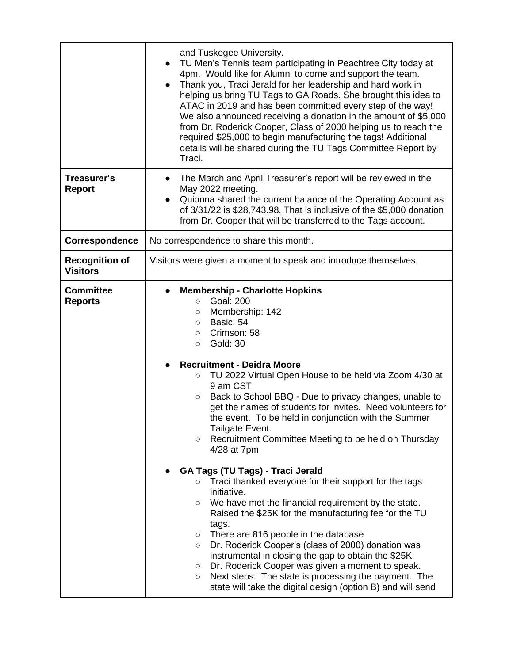|                                          | and Tuskegee University.<br>TU Men's Tennis team participating in Peachtree City today at<br>$\bullet$<br>4pm. Would like for Alumni to come and support the team.<br>Thank you, Traci Jerald for her leadership and hard work in<br>$\bullet$<br>helping us bring TU Tags to GA Roads. She brought this idea to<br>ATAC in 2019 and has been committed every step of the way!<br>We also announced receiving a donation in the amount of \$5,000<br>from Dr. Roderick Cooper, Class of 2000 helping us to reach the<br>required \$25,000 to begin manufacturing the tags! Additional<br>details will be shared during the TU Tags Committee Report by<br>Traci.                                                                                                                                                                                                                                                                                                                                                                                                                                                                                                                                                                 |
|------------------------------------------|----------------------------------------------------------------------------------------------------------------------------------------------------------------------------------------------------------------------------------------------------------------------------------------------------------------------------------------------------------------------------------------------------------------------------------------------------------------------------------------------------------------------------------------------------------------------------------------------------------------------------------------------------------------------------------------------------------------------------------------------------------------------------------------------------------------------------------------------------------------------------------------------------------------------------------------------------------------------------------------------------------------------------------------------------------------------------------------------------------------------------------------------------------------------------------------------------------------------------------|
| Treasurer's<br><b>Report</b>             | The March and April Treasurer's report will be reviewed in the<br>$\bullet$<br>May 2022 meeting.<br>Quionna shared the current balance of the Operating Account as<br>$\bullet$<br>of 3/31/22 is \$28,743.98. That is inclusive of the \$5,000 donation<br>from Dr. Cooper that will be transferred to the Tags account.                                                                                                                                                                                                                                                                                                                                                                                                                                                                                                                                                                                                                                                                                                                                                                                                                                                                                                         |
| Correspondence                           | No correspondence to share this month.                                                                                                                                                                                                                                                                                                                                                                                                                                                                                                                                                                                                                                                                                                                                                                                                                                                                                                                                                                                                                                                                                                                                                                                           |
| <b>Recognition of</b><br><b>Visitors</b> | Visitors were given a moment to speak and introduce themselves.                                                                                                                                                                                                                                                                                                                                                                                                                                                                                                                                                                                                                                                                                                                                                                                                                                                                                                                                                                                                                                                                                                                                                                  |
| <b>Committee</b><br><b>Reports</b>       | <b>Membership - Charlotte Hopkins</b><br>$\bullet$<br><b>Goal: 200</b><br>$\circ$<br>Membership: 142<br>$\circ$<br>Basic: 54<br>$\circ$<br>Crimson: 58<br>$\circ$<br><b>Gold: 30</b><br>$\circ$<br><b>Recruitment - Deidra Moore</b><br>TU 2022 Virtual Open House to be held via Zoom 4/30 at<br>O<br>9 am CST<br>Back to School BBQ - Due to privacy changes, unable to<br>O<br>get the names of students for invites. Need volunteers for<br>the event. To be held in conjunction with the Summer<br>Tailgate Event.<br>Recruitment Committee Meeting to be held on Thursday<br>O<br>4/28 at 7pm<br><b>GA Tags (TU Tags) - Traci Jerald</b><br>Traci thanked everyone for their support for the tags<br>O<br>initiative.<br>We have met the financial requirement by the state.<br>$\circ$<br>Raised the \$25K for the manufacturing fee for the TU<br>tags.<br>There are 816 people in the database<br>$\circ$<br>Dr. Roderick Cooper's (class of 2000) donation was<br>$\circ$<br>instrumental in closing the gap to obtain the \$25K.<br>Dr. Roderick Cooper was given a moment to speak.<br>O<br>Next steps: The state is processing the payment. The<br>O<br>state will take the digital design (option B) and will send |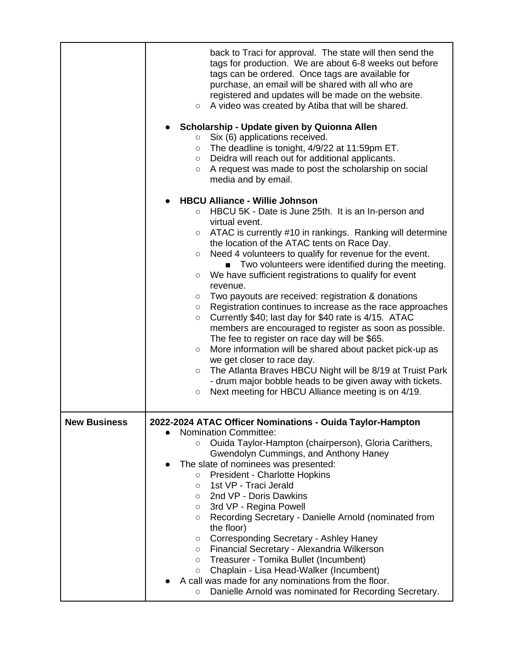|                     | back to Traci for approval. The state will then send the<br>tags for production. We are about 6-8 weeks out before<br>tags can be ordered. Once tags are available for<br>purchase, an email will be shared with all who are<br>registered and updates will be made on the website.<br>A video was created by Atiba that will be shared.<br>$\circ$<br>Scholarship - Update given by Quionna Allen<br>Six (6) applications received.<br>$\circ$<br>The deadline is tonight, 4/9/22 at 11:59pm ET.<br>$\circ$<br>Deidra will reach out for additional applicants.<br>$\circ$<br>A request was made to post the scholarship on social<br>$\circ$<br>media and by email.                                                                                                                                                                                                                                                                                                                                                                                                                                        |
|---------------------|--------------------------------------------------------------------------------------------------------------------------------------------------------------------------------------------------------------------------------------------------------------------------------------------------------------------------------------------------------------------------------------------------------------------------------------------------------------------------------------------------------------------------------------------------------------------------------------------------------------------------------------------------------------------------------------------------------------------------------------------------------------------------------------------------------------------------------------------------------------------------------------------------------------------------------------------------------------------------------------------------------------------------------------------------------------------------------------------------------------|
|                     | <b>HBCU Alliance - Willie Johnson</b><br>$\circ$ HBCU 5K - Date is June 25th. It is an In-person and<br>virtual event.<br>ATAC is currently #10 in rankings. Ranking will determine<br>$\circ$<br>the location of the ATAC tents on Race Day.<br>Need 4 volunteers to qualify for revenue for the event.<br>$\circ$<br>Two volunteers were identified during the meeting.<br>$\blacksquare$<br>We have sufficient registrations to qualify for event<br>$\circ$<br>revenue.<br>Two payouts are received: registration & donations<br>$\circ$<br>Registration continues to increase as the race approaches<br>$\circ$<br>Currently \$40; last day for \$40 rate is 4/15. ATAC<br>$\circ$<br>members are encouraged to register as soon as possible.<br>The fee to register on race day will be \$65.<br>More information will be shared about packet pick-up as<br>$\circ$<br>we get closer to race day.<br>The Atlanta Braves HBCU Night will be 8/19 at Truist Park<br>$\circ$<br>- drum major bobble heads to be given away with tickets.<br>Next meeting for HBCU Alliance meeting is on 4/19.<br>$\circ$ |
| <b>New Business</b> | 2022-2024 ATAC Officer Nominations - Ouida Taylor-Hampton<br><b>Nomination Committee:</b><br>Ouida Taylor-Hampton (chairperson), Gloria Carithers,<br>O<br>Gwendolyn Cummings, and Anthony Haney<br>The slate of nominees was presented:<br><b>President - Charlotte Hopkins</b><br>$\circ$<br>1st VP - Traci Jerald<br>$\circ$<br>2nd VP - Doris Dawkins<br>$\circ$<br>3rd VP - Regina Powell<br>$\circ$<br>Recording Secretary - Danielle Arnold (nominated from<br>O<br>the floor)<br>Corresponding Secretary - Ashley Haney<br>$\circ$<br>Financial Secretary - Alexandria Wilkerson<br>$\circ$<br>Treasurer - Tomika Bullet (Incumbent)<br>$\circ$<br>Chaplain - Lisa Head-Walker (Incumbent)<br>$\circ$<br>A call was made for any nominations from the floor.<br>Danielle Arnold was nominated for Recording Secretary.<br>$\circ$                                                                                                                                                                                                                                                                    |